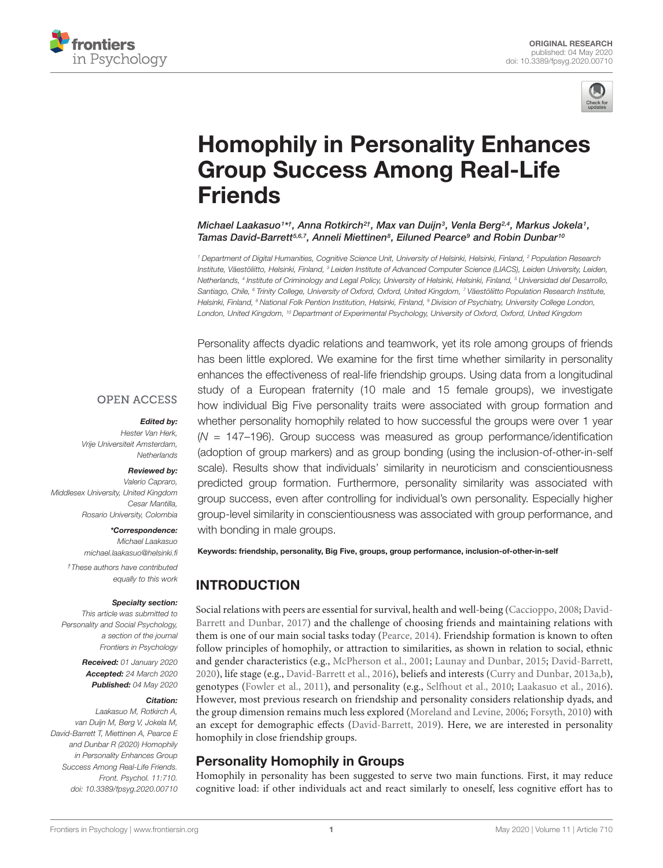



# [Homophily in Personality Enhances](https://www.frontiersin.org/articles/10.3389/fpsyg.2020.00710/full) Group Success Among Real-Life **Friends**

[Michael Laakasuo](http://loop.frontiersin.org/people/321703/overview)†\*†, [Anna Rotkirch](http://loop.frontiersin.org/people/263616/overview)²†, Max van Duijn<sup>3</sup>, [Venla Berg](http://loop.frontiersin.org/people/277445/overview)<sup>2,4</sup>, [Markus Jokela](http://loop.frontiersin.org/people/20825/overview)†, [Tamas David-Barrett](http://loop.frontiersin.org/people/272980/overview)5,6.7, Anneli Miettinen<sup>s</sup>, Eiluned Pearce<sup>s</sup> and [Robin Dunbar](http://loop.frontiersin.org/people/3146/overview)<sup>10</sup>

<sup>1</sup> Department of Digital Humanities, Cognitive Science Unit, University of Helsinki, Helsinki, Finland, <sup>2</sup> Population Research Institute, Väestöliitto, Helsinki, Finland, <sup>3</sup> Leiden Institute of Advanced Computer Science (LIACS), Leiden University, Leiden, Netherlands, <sup>4</sup> Institute of Criminology and Legal Policy, University of Helsinki, Helsinki, Finland, <sup>5</sup> Universidad del Desarrollo, Santiago, Chile, <sup>6</sup> Trinity College, University of Oxford, Oxford, United Kingdom, <sup>7</sup> Väestöliitto Population Research Institute, Helsinki, Finland, <sup>8</sup> National Folk Pention Institution, Helsinki, Finland, <sup>9</sup> Division of Psychiatry, University College London, London, United Kingdom, <sup>10</sup> Department of Experimental Psychology, University of Oxford, Oxford, United Kingdom

### **OPEN ACCESS**

#### Edited by:

Hester Van Herk, Vrije Universiteit Amsterdam, **Netherlands** 

#### Reviewed by:

Valerio Capraro, Middlesex University, United Kingdom Cesar Mantilla, Rosario University, Colombia

#### \*Correspondence:

Michael Laakasuo michael.laakasuo@helsinki.fi †These authors have contributed equally to this work

#### Specialty section:

This article was submitted to Personality and Social Psychology, a section of the journal Frontiers in Psychology

> Received: 01 January 2020 Accepted: 24 March 2020 Published: 04 May 2020

#### Citation:

Laakasuo M, Rotkirch A, van Duijn M, Berg V, Jokela M, David-Barrett T, Miettinen A, Pearce E and Dunbar R (2020) Homophily in Personality Enhances Group Success Among Real-Life Friends. Front. Psychol. 11:710. doi: [10.3389/fpsyg.2020.00710](https://doi.org/10.3389/fpsyg.2020.00710) Personality affects dyadic relations and teamwork, yet its role among groups of friends has been little explored. We examine for the first time whether similarity in personality enhances the effectiveness of real-life friendship groups. Using data from a longitudinal study of a European fraternity (10 male and 15 female groups), we investigate how individual Big Five personality traits were associated with group formation and whether personality homophily related to how successful the groups were over 1 year  $(N = 147-196)$ . Group success was measured as group performance/identification (adoption of group markers) and as group bonding (using the inclusion-of-other-in-self scale). Results show that individuals' similarity in neuroticism and conscientiousness predicted group formation. Furthermore, personality similarity was associated with group success, even after controlling for individual's own personality. Especially higher group-level similarity in conscientiousness was associated with group performance, and with bonding in male groups.

Keywords: friendship, personality, Big Five, groups, group performance, inclusion-of-other-in-self

# INTRODUCTION

Social relations with peers are essential for survival, health and well-being [\(Caccioppo,](#page-8-0) [2008;](#page-8-0) [David-](#page-9-0)[Barrett and Dunbar,](#page-9-0) [2017\)](#page-9-0) and the challenge of choosing friends and maintaining relations with them is one of our main social tasks today [\(Pearce,](#page-9-1) [2014\)](#page-9-1). Friendship formation is known to often follow principles of homophily, or attraction to similarities, as shown in relation to social, ethnic and gender characteristics (e.g., [McPherson et al.,](#page-9-2) [2001;](#page-9-2) [Launay and Dunbar,](#page-9-3) [2015;](#page-9-3) [David-Barrett,](#page-9-4) [2020\)](#page-9-4), life stage (e.g., [David-Barrett et al.,](#page-9-5) [2016\)](#page-9-5), beliefs and interests [\(Curry and Dunbar,](#page-9-6) [2013a](#page-9-6)[,b\)](#page-9-7), genotypes [\(Fowler et al.,](#page-9-8) [2011\)](#page-9-8), and personality (e.g., [Selfhout et al.,](#page-10-0) [2010;](#page-10-0) [Laakasuo et al.,](#page-9-9) [2016\)](#page-9-9). However, most previous research on friendship and personality considers relationship dyads, and the group dimension remains much less explored [\(Moreland and Levine,](#page-9-10) [2006;](#page-9-10) [Forsyth,](#page-9-11) [2010\)](#page-9-11) with an except for demographic effects [\(David-Barrett,](#page-9-12) [2019\)](#page-9-12). Here, we are interested in personality homophily in close friendship groups.

### Personality Homophily in Groups

Homophily in personality has been suggested to serve two main functions. First, it may reduce cognitive load: if other individuals act and react similarly to oneself, less cognitive effort has to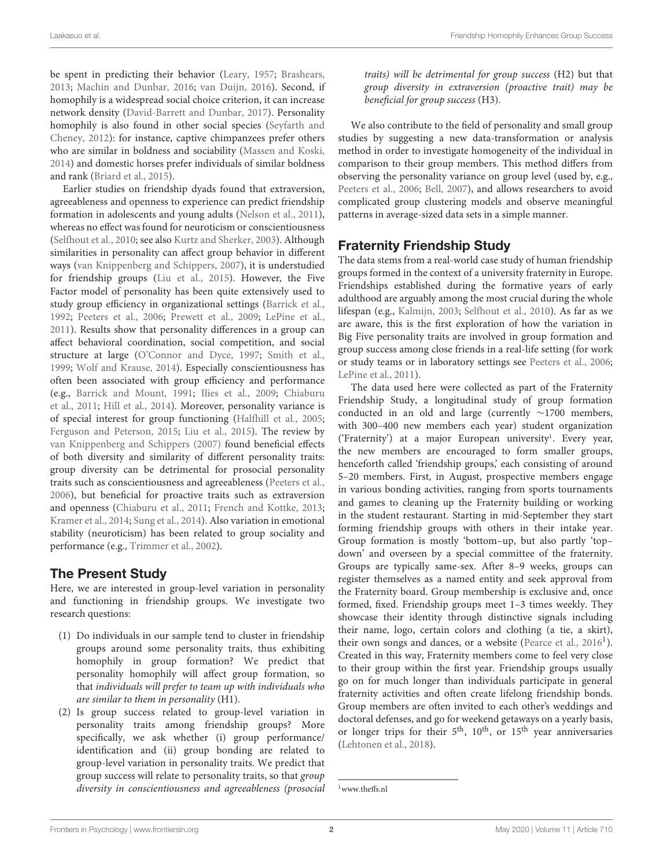be spent in predicting their behavior [\(Leary,](#page-9-13) [1957;](#page-9-13) [Brashears,](#page-8-1) [2013;](#page-8-1) [Machin and Dunbar,](#page-9-14) [2016;](#page-9-14) [van Duijn,](#page-10-1) [2016\)](#page-10-1). Second, if homophily is a widespread social choice criterion, it can increase network density [\(David-Barrett and Dunbar,](#page-9-0) [2017\)](#page-9-0). Personality homophily is also found in other social species [\(Seyfarth and](#page-10-2) [Cheney,](#page-10-2) [2012\)](#page-10-2): for instance, captive chimpanzees prefer others who are similar in boldness and sociability [\(Massen and Koski,](#page-9-15) [2014\)](#page-9-15) and domestic horses prefer individuals of similar boldness and rank [\(Briard et al.,](#page-8-2) [2015\)](#page-8-2).

Earlier studies on friendship dyads found that extraversion, agreeableness and openness to experience can predict friendship formation in adolescents and young adults [\(Nelson et al.,](#page-9-16) [2011\)](#page-9-16), whereas no effect was found for neuroticism or conscientiousness [\(Selfhout et al.,](#page-10-0) [2010;](#page-10-0) see also [Kurtz and Sherker,](#page-9-17) [2003\)](#page-9-17). Although similarities in personality can affect group behavior in different ways [\(van Knippenberg and Schippers,](#page-10-3) [2007\)](#page-10-3), it is understudied for friendship groups [\(Liu et al.,](#page-9-18) [2015\)](#page-9-18). However, the Five Factor model of personality has been quite extensively used to study group efficiency in organizational settings [\(Barrick et al.,](#page-8-3) [1992;](#page-8-3) [Peeters et al.,](#page-9-19) [2006;](#page-9-19) [Prewett et al.,](#page-9-20) [2009;](#page-9-20) [LePine et al.,](#page-9-21) [2011\)](#page-9-21). Results show that personality differences in a group can affect behavioral coordination, social competition, and social structure at large [\(O'Connor and Dyce,](#page-9-22) [1997;](#page-9-22) [Smith et al.,](#page-10-4) [1999;](#page-10-4) [Wolf and Krause,](#page-10-5) [2014\)](#page-10-5). Especially conscientiousness has often been associated with group efficiency and performance (e.g., [Barrick and Mount,](#page-8-4) [1991;](#page-8-4) [Ilies et al.,](#page-9-23) [2009;](#page-9-23) [Chiaburu](#page-8-5) [et al.,](#page-8-5) [2011;](#page-8-5) [Hill et al.,](#page-9-24) [2014\)](#page-9-24). Moreover, personality variance is of special interest for group functioning [\(Halfhill et al.,](#page-9-25) [2005;](#page-9-25) [Ferguson and Peterson,](#page-9-26) [2015;](#page-9-26) [Liu et al.,](#page-9-18) [2015\)](#page-9-18). The review by [van Knippenberg and Schippers](#page-10-3) [\(2007\)](#page-10-3) found beneficial effects of both diversity and similarity of different personality traits: group diversity can be detrimental for prosocial personality traits such as conscientiousness and agreeableness [\(Peeters et al.,](#page-9-19) [2006\)](#page-9-19), but beneficial for proactive traits such as extraversion and openness [\(Chiaburu et al.,](#page-8-5) [2011;](#page-8-5) [French and Kottke,](#page-9-27) [2013;](#page-9-27) [Kramer et al.,](#page-9-28) [2014;](#page-9-28) [Sung et al.,](#page-10-6) [2014\)](#page-10-6). Also variation in emotional stability (neuroticism) has been related to group sociality and performance (e.g., [Trimmer et al.,](#page-10-7) [2002\)](#page-10-7).

# The Present Study

Here, we are interested in group-level variation in personality and functioning in friendship groups. We investigate two research questions:

- (1) Do individuals in our sample tend to cluster in friendship groups around some personality traits, thus exhibiting homophily in group formation? We predict that personality homophily will affect group formation, so that individuals will prefer to team up with individuals who are similar to them in personality (H1).
- (2) Is group success related to group-level variation in personality traits among friendship groups? More specifically, we ask whether (i) group performance/ identification and (ii) group bonding are related to group-level variation in personality traits. We predict that group success will relate to personality traits, so that group diversity in conscientiousness and agreeableness (prosocial

traits) will be detrimental for group success (H2) but that group diversity in extraversion (proactive trait) may be beneficial for group success (H3).

We also contribute to the field of personality and small group studies by suggesting a new data-transformation or analysis method in order to investigate homogeneity of the individual in comparison to their group members. This method differs from observing the personality variance on group level (used by, e.g., [Peeters et al.,](#page-9-19) [2006;](#page-9-19) [Bell,](#page-8-6) [2007\)](#page-8-6), and allows researchers to avoid complicated group clustering models and observe meaningful patterns in average-sized data sets in a simple manner.

# Fraternity Friendship Study

The data stems from a real-world case study of human friendship groups formed in the context of a university fraternity in Europe. Friendships established during the formative years of early adulthood are arguably among the most crucial during the whole lifespan (e.g., [Kalmijn,](#page-9-29) [2003;](#page-9-29) [Selfhout et al.,](#page-10-0) [2010\)](#page-10-0). As far as we are aware, this is the first exploration of how the variation in Big Five personality traits are involved in group formation and group success among close friends in a real-life setting (for work or study teams or in laboratory settings see [Peeters et al.,](#page-9-19) [2006;](#page-9-19) [LePine et al.,](#page-9-21) [2011\)](#page-9-21).

The data used here were collected as part of the Fraternity Friendship Study, a longitudinal study of group formation conducted in an old and large (currently ∼1700 members, with 300–400 new members each year) student organization ('Fraternity') at a major European university<sup>[1](#page-1-0)</sup>. Every year, the new members are encouraged to form smaller groups, henceforth called 'friendship groups,' each consisting of around 5–20 members. First, in August, prospective members engage in various bonding activities, ranging from sports tournaments and games to cleaning up the Fraternity building or working in the student restaurant. Starting in mid-September they start forming friendship groups with others in their intake year. Group formation is mostly 'bottom–up, but also partly 'top– down' and overseen by a special committee of the fraternity. Groups are typically same-sex. After 8–9 weeks, groups can register themselves as a named entity and seek approval from the Fraternity board. Group membership is exclusive and, once formed, fixed. Friendship groups meet 1–3 times weekly. They showcase their identity through distinctive signals including their name, logo, certain colors and clothing (a tie, a skirt), their own songs and dances, or a website [\(Pearce et al.,](#page-9-30)  $2016<sup>1</sup>$  $2016<sup>1</sup>$ ). Created in this way, Fraternity members come to feel very close to their group within the first year. Friendship groups usually go on for much longer than individuals participate in general fraternity activities and often create lifelong friendship bonds. Group members are often invited to each other's weddings and doctoral defenses, and go for weekend getaways on a yearly basis, or longer trips for their  $5<sup>th</sup>$ ,  $10<sup>th</sup>$ , or  $15<sup>th</sup>$  year anniversaries [\(Lehtonen et al.,](#page-9-31) [2018\)](#page-9-31).

<span id="page-1-0"></span><sup>1</sup>[www.theffs.nl](http://www.theffs.nl)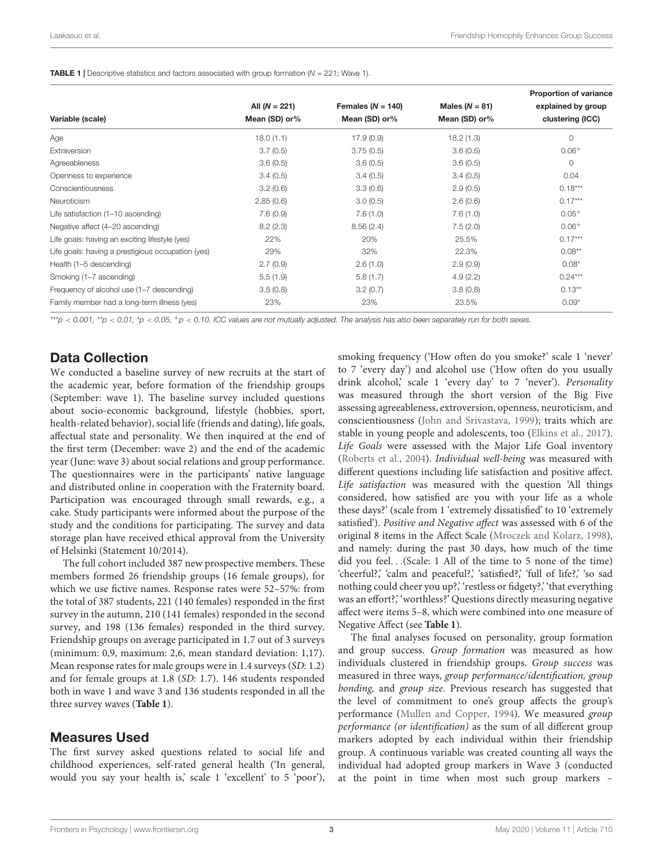#### <span id="page-2-0"></span>**TABLE 1** | Descriptive statistics and factors associated with group formation  $(N = 221;$  Wave 1).

|                                                   |                 |                     |                    | Proportion of variance |
|---------------------------------------------------|-----------------|---------------------|--------------------|------------------------|
|                                                   | All $(N = 221)$ | Females $(N = 140)$ | Males ( $N = 81$ ) | explained by group     |
| Variable (scale)                                  | Mean (SD) or%   | Mean (SD) or%       | Mean (SD) or%      | clustering (ICC)       |
| Age                                               | 18.0(1.1)       | 17.9(0.9)           | 18.2(1.3)          | 0                      |
| Extraversion                                      | 3.7(0.5)        | 3.75(0.5)           | 3.6(0.5)           | $0.06+$                |
| Agreeableness                                     | 3.6(0.5)        | 3.6(0.5)            | 3.6(0.5)           | $\circ$                |
| Openness to experience                            | 3.4(0.5)        | 3.4(0.5)            | 3.4(0.5)           | 0.04                   |
| Conscientiousness                                 | 3.2(0.6)        | 3.3(0.6)            | 2.9(0.5)           | $0.18***$              |
| Neuroticism                                       | 2.85(0.6)       | 3.0(0.5)            | 2.6(0.6)           | $0.17***$              |
| Life satisfaction (1-10 ascending)                | 7.6(0.9)        | 7.6(1.0)            | 7.6(1.0)           | $0.05+$                |
| Negative affect (4-20 ascending)                  | 8.2(2.3)        | 8.56(2.4)           | 7.5(2.0)           | $0.06+$                |
| Life goals: having an exciting lifestyle (yes)    | 22%             | 20%                 | 25.5%              | $0.17***$              |
| Life goals: having a prestigious occupation (yes) | 29%             | 32%                 | 22.3%              | $0.08***$              |
| Health (1-5 descending)                           | 2.7(0.9)        | 2.6(1.0)            | 2.9(0.9)           | $0.08*$                |
| Smoking (1-7 ascending)                           | 5.5(1.9)        | 5.8(1.7)            | 4.9(2.2)           | $0.24***$              |
| Frequency of alcohol use (1-7 descending)         | 3.5(0.8)        | 3.2(0.7)            | 3.8(0.8)           | $0.13***$              |
| Family member had a long-term illness (yes)       | 23%             | 23%                 | 23.5%              | $0.09*$                |

\*\*p < 0.001, \*\*p < 0.01, \*p < 0.05,  $+$ p < 0.10. ICC values are not mutually adjusted. The analysis has also been separately run for both sexes.

# Data Collection

We conducted a baseline survey of new recruits at the start of the academic year, before formation of the friendship groups (September: wave 1). The baseline survey included questions about socio-economic background, lifestyle (hobbies, sport, health-related behavior), social life (friends and dating), life goals, affectual state and personality. We then inquired at the end of the first term (December: wave 2) and the end of the academic year (June: wave 3) about social relations and group performance. The questionnaires were in the participants' native language and distributed online in cooperation with the Fraternity board. Participation was encouraged through small rewards, e.g., a cake. Study participants were informed about the purpose of the study and the conditions for participating. The survey and data storage plan have received ethical approval from the University of Helsinki (Statement 10/2014).

The full cohort included 387 new prospective members. These members formed 26 friendship groups (16 female groups), for which we use fictive names. Response rates were 52–57%: from the total of 387 students, 221 (140 females) responded in the first survey in the autumn, 210 (141 females) responded in the second survey, and 198 (136 females) responded in the third survey. Friendship groups on average participated in 1.7 out of 3 surveys (minimum: 0,9, maximum: 2,6, mean standard deviation: 1,17). Mean response rates for male groups were in 1.4 surveys (SD: 1.2) and for female groups at 1.8 (SD: 1.7). 146 students responded both in wave 1 and wave 3 and 136 students responded in all the three survey waves (**[Table 1](#page-2-0)**).

### Measures Used

The first survey asked questions related to social life and childhood experiences, self-rated general health ('In general, would you say your health is,' scale 1 'excellent' to 5 'poor'), smoking frequency ('How often do you smoke?' scale 1 'never' to 7 'every day') and alcohol use ('How often do you usually drink alcohol,' scale 1 'every day' to 7 'never'). Personality was measured through the short version of the Big Five assessing agreeableness, extroversion, openness, neuroticism, and conscientiousness [\(John and Srivastava,](#page-9-32) [1999\)](#page-9-32); traits which are stable in young people and adolescents, too [\(Elkins et al.,](#page-9-33) [2017\)](#page-9-33). Life Goals were assessed with the Major Life Goal inventory [\(Roberts et al.,](#page-10-8) [2004\)](#page-10-8). Individual well-being was measured with different questions including life satisfaction and positive affect. Life satisfaction was measured with the question 'All things considered, how satisfied are you with your life as a whole these days?' (scale from 1 'extremely dissatisfied' to 10 'extremely satisfied'). Positive and Negative affect was assessed with 6 of the original 8 items in the Affect Scale [\(Mroczek and Kolarz,](#page-9-34) [1998\)](#page-9-34), and namely: during the past 30 days, how much of the time did you feel. . .(Scale: 1 All of the time to 5 none of the time) 'cheerful?,' 'calm and peaceful?,' 'satisfied?,' 'full of life?,' 'so sad nothing could cheer you up?,' 'restless or fidgety?,' 'that everything was an effort?,' 'worthless?' Questions directly measuring negative affect were items 5–8, which were combined into one measure of Negative Affect (see **[Table 1](#page-2-0)**).

The final analyses focused on personality, group formation and group success. Group formation was measured as how individuals clustered in friendship groups. Group success was measured in three ways, group performance/identification, group bonding, and group size. Previous research has suggested that the level of commitment to one's group affects the group's performance [\(Mullen and Copper,](#page-9-35) [1994\)](#page-9-35). We measured group performance (or identification) as the sum of all different group markers adopted by each individual within their friendship group. A continuous variable was created counting all ways the individual had adopted group markers in Wave 3 (conducted at the point in time when most such group markers –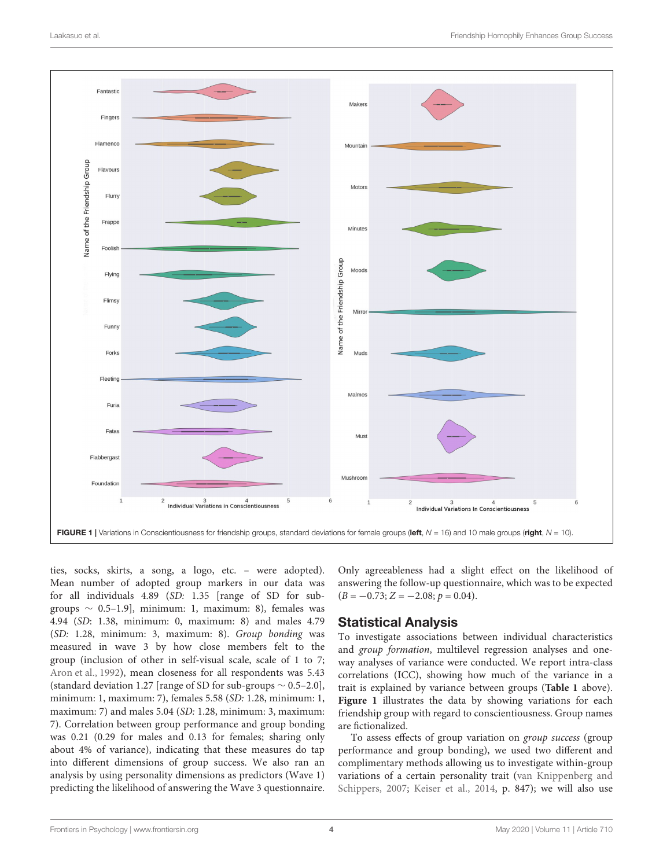

<span id="page-3-0"></span>ties, socks, skirts, a song, a logo, etc. – were adopted). Mean number of adopted group markers in our data was for all individuals 4.89 (SD: 1.35 [range of SD for subgroups  $\sim$  0.5–1.9], minimum: 1, maximum: 8), females was 4.94 (SD: 1.38, minimum: 0, maximum: 8) and males 4.79 (SD: 1.28, minimum: 3, maximum: 8). Group bonding was measured in wave 3 by how close members felt to the group (inclusion of other in self-visual scale, scale of 1 to 7; [Aron et al.,](#page-8-7) [1992\)](#page-8-7), mean closeness for all respondents was 5.43 (standard deviation 1.27 [range of SD for sub-groups ∼ 0.5–2.0], minimum: 1, maximum: 7), females 5.58 (SD: 1.28, minimum: 1, maximum: 7) and males 5.04 (SD: 1.28, minimum: 3, maximum: 7). Correlation between group performance and group bonding was 0.21 (0.29 for males and 0.13 for females; sharing only about 4% of variance), indicating that these measures do tap into different dimensions of group success. We also ran an analysis by using personality dimensions as predictors (Wave 1) predicting the likelihood of answering the Wave 3 questionnaire.

Only agreeableness had a slight effect on the likelihood of answering the follow-up questionnaire, which was to be expected  $(B = -0.73; Z = -2.08; p = 0.04).$ 

# Statistical Analysis

To investigate associations between individual characteristics and group formation, multilevel regression analyses and oneway analyses of variance were conducted. We report intra-class correlations (ICC), showing how much of the variance in a trait is explained by variance between groups (**[Table 1](#page-2-0)** above). [Figure 1](#page-3-0) illustrates the data by showing variations for each friendship group with regard to conscientiousness. Group names are fictionalized.

To assess effects of group variation on group success (group performance and group bonding), we used two different and complimentary methods allowing us to investigate within-group variations of a certain personality trait [\(van Knippenberg and](#page-10-3) [Schippers,](#page-10-3) [2007;](#page-10-3) [Keiser et al.,](#page-9-36) [2014,](#page-9-36) p. 847); we will also use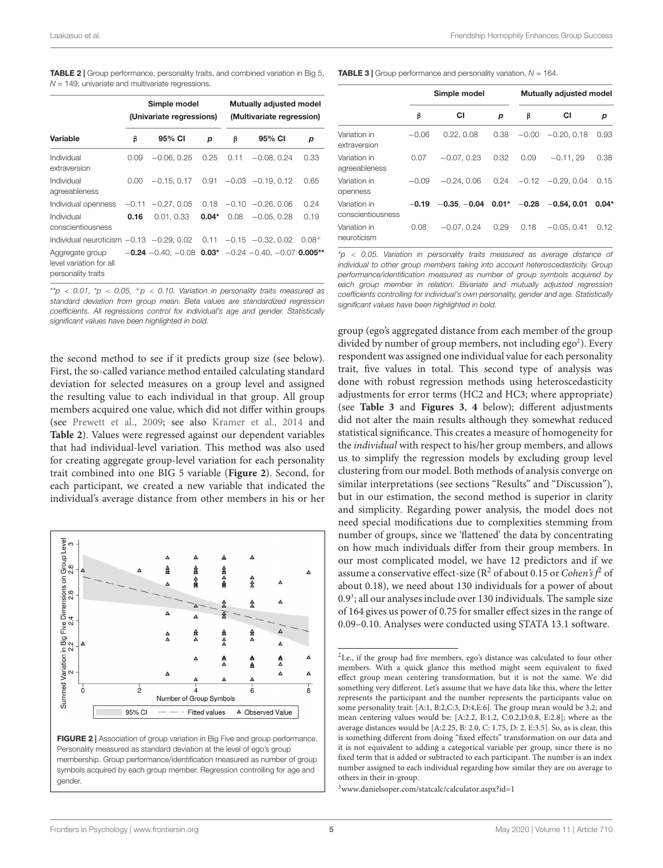<span id="page-4-0"></span>TABLE 2 | Group performance, personality traits, and combined variation in Big 5,  $N = 149$ ; univariate and multivariate regressions.

|                                                                                                                                | Simple model<br>(Univariate regressions) |                      |         | Mutually adjusted model<br>(Multivariate regression) |                             |         |  |
|--------------------------------------------------------------------------------------------------------------------------------|------------------------------------------|----------------------|---------|------------------------------------------------------|-----------------------------|---------|--|
| Variable                                                                                                                       | β                                        | 95% CI               | р       | ß                                                    | 95% CI                      | р       |  |
| Individual<br>extraversion                                                                                                     | 0.09                                     | $-0.06, 0.25$        | 0.25    | 0.11                                                 | $-0.08, 0.24$               | 0.33    |  |
| Individual<br>agreeableness                                                                                                    | 0.00                                     | $-0.15.$ $0.17$      |         |                                                      | $0.91 - 0.03 - 0.19, 0.12$  | 0.65    |  |
| Individual openness                                                                                                            |                                          | $-0.11 - 0.27, 0.05$ |         |                                                      | $0.18 - 0.10 - 0.26$ , 0.06 | 0.24    |  |
| Individual<br>conscientiousness                                                                                                | 0.16                                     | 0.01, 0.33           | $0.04*$ |                                                      | $0.08 -0.05, 0.28$          | 0.19    |  |
| Individual neuroticism $-0.13$ $-0.29$ , 0.02                                                                                  |                                          |                      |         |                                                      | $0.11 -0.15 -0.32, 0.02$    | $0.08+$ |  |
| Aggregate group $-0.24 - 0.40, -0.08$ $0.03*$ $-0.24 - 0.40, -0.07$ $0.005**$<br>level variation for all<br>personality traits |                                          |                      |         |                                                      |                             |         |  |

\*\*p < 0.01, \*p < 0.05,  $+p$  < 0.10. Variation in personality traits measured as standard deviation from group mean. Beta values are standardized regression coefficients. All regressions control for individual's age and gender. Statistically significant values have been highlighted in bold.

the second method to see if it predicts group size (see below). First, the so-called variance method entailed calculating standard deviation for selected measures on a group level and assigned the resulting value to each individual in that group. All group members acquired one value, which did not differ within groups (see [Prewett et al.,](#page-9-20) [2009;](#page-9-20) see also [Kramer et al.,](#page-9-28) [2014](#page-9-28) and **[Table 2](#page-4-0)**). Values were regressed against our dependent variables that had individual-level variation. This method was also used for creating aggregate group-level variation for each personality trait combined into one BIG 5 variable (**[Figure 2](#page-4-1)**). Second, for each participant, we created a new variable that indicated the individual's average distance from other members in his or her



<span id="page-4-1"></span>FIGURE 2 | Association of group variation in Big Five and group performance. Personality measured as standard deviation at the level of ego's group membership. Group performance/identification measured as number of group symbols acquired by each group member. Regression controlling for age and gender.

<span id="page-4-3"></span>**TABLE 3**  $\blacksquare$  Group performance and personality variation,  $N = 164$ .

|                                   | Simple model |                                             |      | Mutually adjusted model |                      |         |  |
|-----------------------------------|--------------|---------------------------------------------|------|-------------------------|----------------------|---------|--|
|                                   | β            | <b>CI</b>                                   | р    | β                       | СI                   | р       |  |
| Variation in<br>extraversion      | $-0.06$      | 0.22, 0.08                                  | 0.38 |                         | $-0.00 -0.200 0.18$  | 0.93    |  |
| Variation in<br>agreeableness     | 0.07         | $-0.07, 0.23$                               | 0.32 | 0.09                    | $-0.11.29$           | 0.38    |  |
| Variation in<br>openness          | $-0.09$      | $-0.24.0.06$                                | 0.24 |                         | $-0.12 -0.29$ , 0.04 | 0.15    |  |
| Variation in<br>conscientiousness | $-0.19$      | $-0.35, -0.04, 0.01^*$ $-0.28, -0.54, 0.01$ |      |                         |                      | $0.04*$ |  |
| Variation in<br>neuroticism       | 0.08         | $-0.07, 0.24$                               | 0.29 | 0.18                    | $-0.05, 0.41$        | 0.12    |  |

 $p$  < 0.05. Variation in personality traits measured as average distance of individual to other group members taking into account heteroscedasticity. Group performance/identification measured as number of group symbols acquired by each group member in relation. Bivariate and mutually adjusted regression coefficients controlling for individual's own personality, gender and age. Statistically significant values have been highlighted in bold.

group (ego's aggregated distance from each member of the group divided by number of group members, not including ego<sup>[2](#page-4-2)</sup>). Every respondent was assigned one individual value for each personality trait, five values in total. This second type of analysis was done with robust regression methods using heteroscedasticity adjustments for error terms (HC2 and HC3; where appropriate) (see **[Table 3](#page-4-3)** and **[Figures 3](#page-5-0)**, **[4](#page-5-1)** below); different adjustments did not alter the main results although they somewhat reduced statistical significance. This creates a measure of homogeneity for the individual with respect to his/her group members, and allows us to simplify the regression models by excluding group level clustering from our model. Both methods of analysis converge on similar interpretations (see sections "Results" and "Discussion"), but in our estimation, the second method is superior in clarity and simplicity. Regarding power analysis, the model does not need special modifications due to complexities stemming from number of groups, since we 'flattened' the data by concentrating on how much individuals differ from their group members. In our most complicated model, we have 12 predictors and if we assume a conservative effect-size ( $\mathbb{R}^2$  of about 0.15 or *Cohen's*  $\hat{f}^2$  of about 0.18), we need about 130 individuals for a power of about 0.9[3](#page-4-4) ; all our analyses include over 130 individuals. The sample size of 164 gives us power of 0.75 for smaller effect sizes in the range of 0.09–0.10. Analyses were conducted using STATA 13.1 software.

<span id="page-4-4"></span><sup>3</sup>[www.danielsoper.com/statcalc/calculator.aspx?id=1](http://www.danielsoper.com/statcalc/calculator.aspx?id=1)

<span id="page-4-2"></span><sup>&</sup>lt;sup>2</sup>I.e., if the group had five members, ego's distance was calculated to four other members. With a quick glance this method might seem equivalent to fixed effect group mean centering transformation, but it is not the same. We did something very different. Let's assume that we have data like this, where the letter represents the participant and the number represents the participants value on some personality trait: [A:1, B:2,C:3, D:4,E:6]. The group mean would be 3.2; and mean centering values would be: [A:2.2, B:1.2, C:0.2,D:0.8, E:2.8]; where as the average distances would be [A:2.25, B: 2.0, C: 1.75, D: 2, E:3.5]. So, as is clear, this is something different from doing "fixed effects" transformation on our data and it is not equivalent to adding a categorical variable per group, since there is no fixed term that is added or subtracted to each participant. The number is an index number assigned to each individual regarding how similar they are on average to others in their in-group.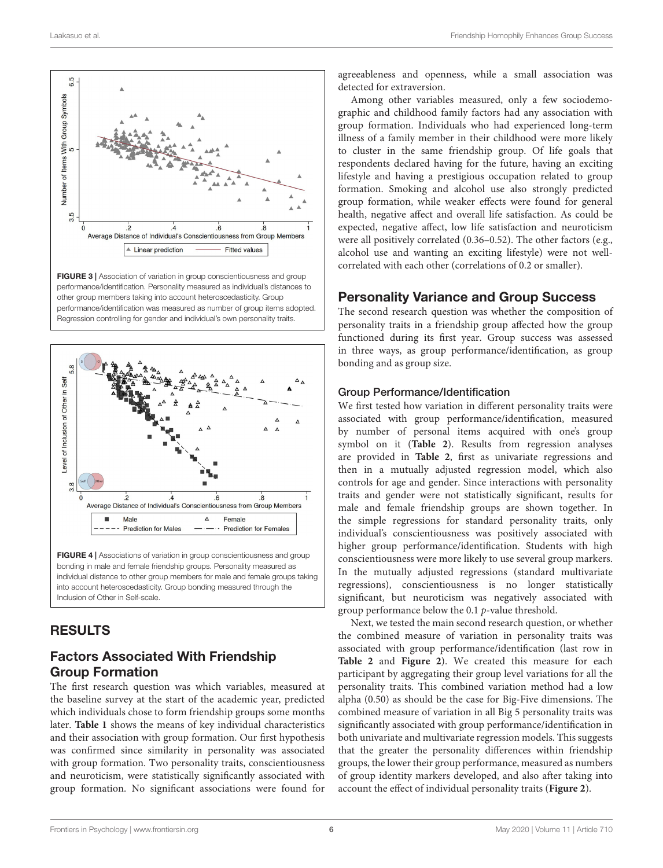

<span id="page-5-0"></span>FIGURE 3 | Association of variation in group conscientiousness and group performance/identification. Personality measured as individual's distances to other group members taking into account heteroscedasticity. Group performance/identification was measured as number of group items adopted. Regression controlling for gender and individual's own personality traits.



<span id="page-5-1"></span>FIGURE 4 | Associations of variation in group conscientiousness and group bonding in male and female friendship groups. Personality measured as individual distance to other group members for male and female groups taking into account heteroscedasticity. Group bonding measured through the Inclusion of Other in Self-scale.

# RESULTS

# Factors Associated With Friendship Group Formation

The first research question was which variables, measured at the baseline survey at the start of the academic year, predicted which individuals chose to form friendship groups some months later. **[Table 1](#page-2-0)** shows the means of key individual characteristics and their association with group formation. Our first hypothesis was confirmed since similarity in personality was associated with group formation. Two personality traits, conscientiousness and neuroticism, were statistically significantly associated with group formation. No significant associations were found for

agreeableness and openness, while a small association was detected for extraversion.

Among other variables measured, only a few sociodemographic and childhood family factors had any association with group formation. Individuals who had experienced long-term illness of a family member in their childhood were more likely to cluster in the same friendship group. Of life goals that respondents declared having for the future, having an exciting lifestyle and having a prestigious occupation related to group formation. Smoking and alcohol use also strongly predicted group formation, while weaker effects were found for general health, negative affect and overall life satisfaction. As could be expected, negative affect, low life satisfaction and neuroticism were all positively correlated (0.36–0.52). The other factors (e.g., alcohol use and wanting an exciting lifestyle) were not wellcorrelated with each other (correlations of 0.2 or smaller).

### Personality Variance and Group Success

The second research question was whether the composition of personality traits in a friendship group affected how the group functioned during its first year. Group success was assessed in three ways, as group performance/identification, as group bonding and as group size.

### Group Performance/Identification

We first tested how variation in different personality traits were associated with group performance/identification, measured by number of personal items acquired with one's group symbol on it (**[Table 2](#page-4-0)**). Results from regression analyses are provided in **[Table 2](#page-4-0)**, first as univariate regressions and then in a mutually adjusted regression model, which also controls for age and gender. Since interactions with personality traits and gender were not statistically significant, results for male and female friendship groups are shown together. In the simple regressions for standard personality traits, only individual's conscientiousness was positively associated with higher group performance/identification. Students with high conscientiousness were more likely to use several group markers. In the mutually adjusted regressions (standard multivariate regressions), conscientiousness is no longer statistically significant, but neuroticism was negatively associated with group performance below the 0.1 p-value threshold.

Next, we tested the main second research question, or whether the combined measure of variation in personality traits was associated with group performance/identification (last row in **[Table 2](#page-4-0)** and **[Figure 2](#page-4-1)**). We created this measure for each participant by aggregating their group level variations for all the personality traits. This combined variation method had a low alpha (0.50) as should be the case for Big-Five dimensions. The combined measure of variation in all Big 5 personality traits was significantly associated with group performance/identification in both univariate and multivariate regression models. This suggests that the greater the personality differences within friendship groups, the lower their group performance, measured as numbers of group identity markers developed, and also after taking into account the effect of individual personality traits (**[Figure 2](#page-4-1)**).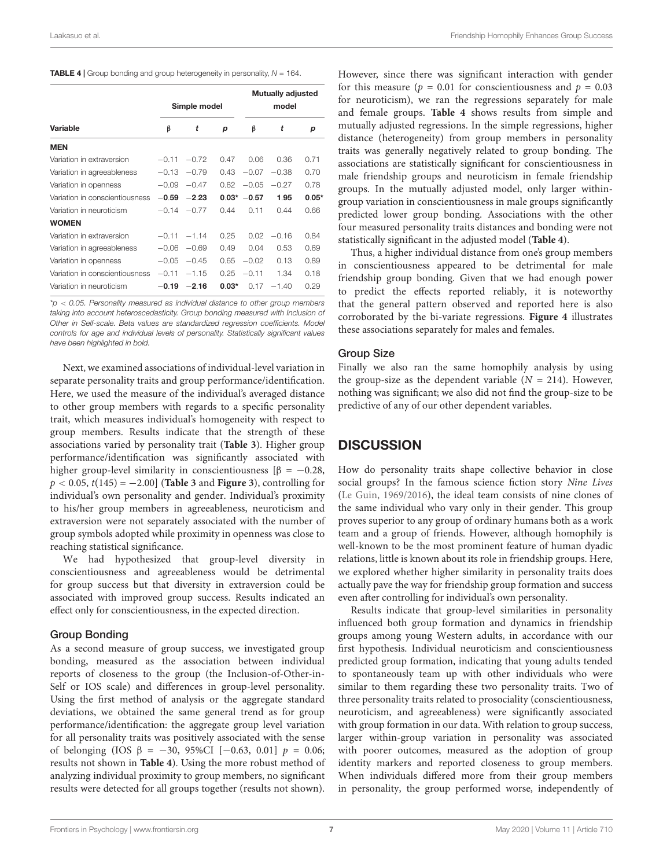<span id="page-6-0"></span>

|  |  |  |  | <b>TABLE 4</b> Group bonding and group heterogeneity in personality, $N = 164$ . |
|--|--|--|--|----------------------------------------------------------------------------------|
|--|--|--|--|----------------------------------------------------------------------------------|

|                                | Simple model |                |         | <b>Mutually adjusted</b><br>model |         |         |
|--------------------------------|--------------|----------------|---------|-----------------------------------|---------|---------|
| Variable                       | β            | t              | р       | β                                 | t       | р       |
| <b>MEN</b>                     |              |                |         |                                   |         |         |
| Variation in extraversion      | $-0.11$      | $-0.72$        | 0.47    | 0.06                              | 0.36    | 0.71    |
| Variation in agreeableness     |              | $-0.13 -0.79$  | 0.43    | $-0.07$                           | $-0.38$ | 0.70    |
| Variation in openness          | $-0.09$      | $-0.47$        | 0.62    | $-0.05$                           | $-0.27$ | 0.78    |
| Variation in conscientiousness | $-0.59$      | $-2.23$        |         | $0.03* -0.57$                     | 1.95    | $0.05*$ |
| Variation in neuroticism       | $-0.14$      | $-0.77$        | 0.44    | 0.11                              | 0.44    | 0.66    |
| <b>WOMEN</b>                   |              |                |         |                                   |         |         |
| Variation in extraversion      |              | $-0.11 - 1.14$ | 0.25    | 0.02                              | $-0.16$ | 0.84    |
| Variation in agreeableness     | $-0.06$      | $-0.69$        | 0.49    | 0.04                              | 0.53    | 0.69    |
| Variation in openness          | $-0.05$      | $-0.45$        | 0.65    | $-0.02$                           | 0.13    | 0.89    |
| Variation in conscientiousness | $-0.11$      | $-1.15$        | 0.25    | $-0.11$                           | 1.34    | 0.18    |
| Variation in neuroticism       | $-0.19$      | $-2.16$        | $0.03*$ | 0.17                              | $-1.40$ | 0.29    |

\*p < 0.05. Personality measured as individual distance to other group members taking into account heteroscedasticity. Group bonding measured with Inclusion of Other in Self-scale. Beta values are standardized regression coefficients. Model controls for age and individual levels of personality. Statistically significant values have been highlighted in bold.

Next, we examined associations of individual-level variation in separate personality traits and group performance/identification. Here, we used the measure of the individual's averaged distance to other group members with regards to a specific personality trait, which measures individual's homogeneity with respect to group members. Results indicate that the strength of these associations varied by personality trait (**[Table 3](#page-4-3)**). Higher group performance/identification was significantly associated with higher group-level similarity in conscientiousness  $[\beta = -0.28,$ p < 0.05, t(145) = −2.00] (**[Table 3](#page-4-3)** and **[Figure 3](#page-5-0)**), controlling for individual's own personality and gender. Individual's proximity to his/her group members in agreeableness, neuroticism and extraversion were not separately associated with the number of group symbols adopted while proximity in openness was close to reaching statistical significance.

We had hypothesized that group-level diversity in conscientiousness and agreeableness would be detrimental for group success but that diversity in extraversion could be associated with improved group success. Results indicated an effect only for conscientiousness, in the expected direction.

#### Group Bonding

As a second measure of group success, we investigated group bonding, measured as the association between individual reports of closeness to the group (the Inclusion-of-Other-in-Self or IOS scale) and differences in group-level personality. Using the first method of analysis or the aggregate standard deviations, we obtained the same general trend as for group performance/identification: the aggregate group level variation for all personality traits was positively associated with the sense of belonging (IOS β = −30, 95%CI [−0.63, 0.01]  $p = 0.06$ ; results not shown in **[Table 4](#page-6-0)**). Using the more robust method of analyzing individual proximity to group members, no significant results were detected for all groups together (results not shown).

However, since there was significant interaction with gender for this measure ( $p = 0.01$  for conscientiousness and  $p = 0.03$ for neuroticism), we ran the regressions separately for male and female groups. **[Table 4](#page-6-0)** shows results from simple and mutually adjusted regressions. In the simple regressions, higher distance (heterogeneity) from group members in personality traits was generally negatively related to group bonding. The associations are statistically significant for conscientiousness in male friendship groups and neuroticism in female friendship groups. In the mutually adjusted model, only larger withingroup variation in conscientiousness in male groups significantly predicted lower group bonding. Associations with the other four measured personality traits distances and bonding were not statistically significant in the adjusted model (**[Table 4](#page-6-0)**).

Thus, a higher individual distance from one's group members in conscientiousness appeared to be detrimental for male friendship group bonding. Given that we had enough power to predict the effects reported reliably, it is noteworthy that the general pattern observed and reported here is also corroborated by the bi-variate regressions. **[Figure 4](#page-5-1)** illustrates these associations separately for males and females.

### Group Size

Finally we also ran the same homophily analysis by using the group-size as the dependent variable  $(N = 214)$ . However, nothing was significant; we also did not find the group-size to be predictive of any of our other dependent variables.

# **DISCUSSION**

How do personality traits shape collective behavior in close social groups? In the famous science fiction story Nine Lives [\(Le Guin,](#page-9-37) [1969/2016\)](#page-9-37), the ideal team consists of nine clones of the same individual who vary only in their gender. This group proves superior to any group of ordinary humans both as a work team and a group of friends. However, although homophily is well-known to be the most prominent feature of human dyadic relations, little is known about its role in friendship groups. Here, we explored whether higher similarity in personality traits does actually pave the way for friendship group formation and success even after controlling for individual's own personality.

Results indicate that group-level similarities in personality influenced both group formation and dynamics in friendship groups among young Western adults, in accordance with our first hypothesis. Individual neuroticism and conscientiousness predicted group formation, indicating that young adults tended to spontaneously team up with other individuals who were similar to them regarding these two personality traits. Two of three personality traits related to prosociality (conscientiousness, neuroticism, and agreeableness) were significantly associated with group formation in our data. With relation to group success, larger within-group variation in personality was associated with poorer outcomes, measured as the adoption of group identity markers and reported closeness to group members. When individuals differed more from their group members in personality, the group performed worse, independently of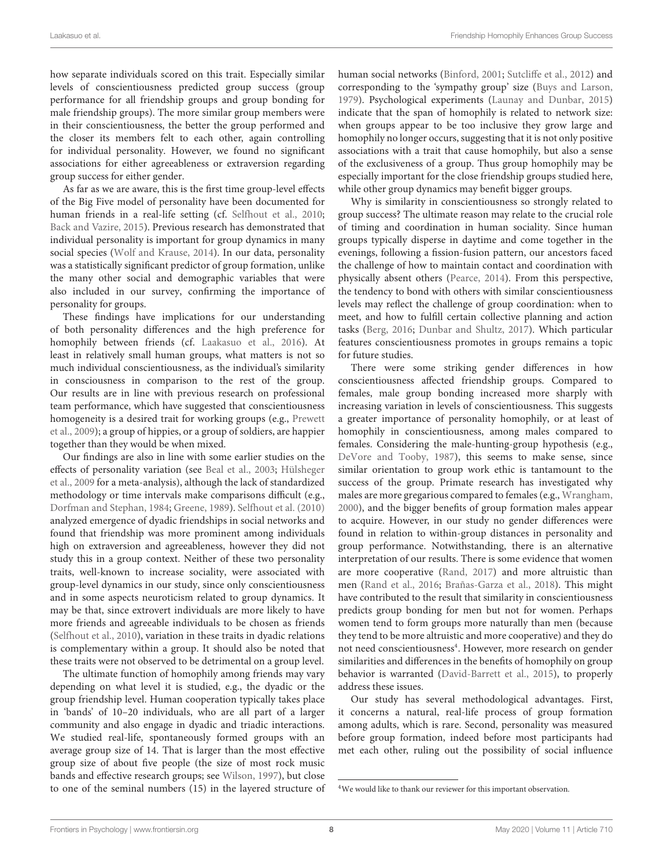how separate individuals scored on this trait. Especially similar levels of conscientiousness predicted group success (group performance for all friendship groups and group bonding for male friendship groups). The more similar group members were in their conscientiousness, the better the group performed and the closer its members felt to each other, again controlling for individual personality. However, we found no significant associations for either agreeableness or extraversion regarding group success for either gender.

As far as we are aware, this is the first time group-level effects of the Big Five model of personality have been documented for human friends in a real-life setting (cf. [Selfhout et al.,](#page-10-0) [2010;](#page-10-0) [Back and Vazire,](#page-8-8) [2015\)](#page-8-8). Previous research has demonstrated that individual personality is important for group dynamics in many social species [\(Wolf and Krause,](#page-10-5) [2014\)](#page-10-5). In our data, personality was a statistically significant predictor of group formation, unlike the many other social and demographic variables that were also included in our survey, confirming the importance of personality for groups.

These findings have implications for our understanding of both personality differences and the high preference for homophily between friends (cf. [Laakasuo et al.,](#page-9-9) [2016\)](#page-9-9). At least in relatively small human groups, what matters is not so much individual conscientiousness, as the individual's similarity in consciousness in comparison to the rest of the group. Our results are in line with previous research on professional team performance, which have suggested that conscientiousness homogeneity is a desired trait for working groups (e.g., [Prewett](#page-9-20) [et al.,](#page-9-20) [2009\)](#page-9-20); a group of hippies, or a group of soldiers, are happier together than they would be when mixed.

Our findings are also in line with some earlier studies on the effects of personality variation (see [Beal et al.,](#page-8-9) [2003;](#page-8-9) [Hülsheger](#page-9-38) [et al.,](#page-9-38) [2009](#page-9-38) for a meta-analysis), although the lack of standardized methodology or time intervals make comparisons difficult (e.g., [Dorfman and Stephan,](#page-9-39) [1984;](#page-9-39) [Greene,](#page-9-40) [1989\)](#page-9-40). [Selfhout et al.](#page-10-0) [\(2010\)](#page-10-0) analyzed emergence of dyadic friendships in social networks and found that friendship was more prominent among individuals high on extraversion and agreeableness, however they did not study this in a group context. Neither of these two personality traits, well-known to increase sociality, were associated with group-level dynamics in our study, since only conscientiousness and in some aspects neuroticism related to group dynamics. It may be that, since extrovert individuals are more likely to have more friends and agreeable individuals to be chosen as friends [\(Selfhout et al.,](#page-10-0) [2010\)](#page-10-0), variation in these traits in dyadic relations is complementary within a group. It should also be noted that these traits were not observed to be detrimental on a group level.

The ultimate function of homophily among friends may vary depending on what level it is studied, e.g., the dyadic or the group friendship level. Human cooperation typically takes place in 'bands' of 10–20 individuals, who are all part of a larger community and also engage in dyadic and triadic interactions. We studied real-life, spontaneously formed groups with an average group size of 14. That is larger than the most effective group size of about five people (the size of most rock music bands and effective research groups; see [Wilson,](#page-10-9) [1997\)](#page-10-9), but close to one of the seminal numbers (15) in the layered structure of human social networks [\(Binford,](#page-8-10) [2001;](#page-8-10) [Sutcliffe et al.,](#page-10-10) [2012\)](#page-10-10) and corresponding to the 'sympathy group' size [\(Buys and Larson,](#page-8-11) [1979\)](#page-8-11). Psychological experiments [\(Launay and Dunbar,](#page-9-3) [2015\)](#page-9-3) indicate that the span of homophily is related to network size: when groups appear to be too inclusive they grow large and homophily no longer occurs, suggesting that it is not only positive associations with a trait that cause homophily, but also a sense of the exclusiveness of a group. Thus group homophily may be especially important for the close friendship groups studied here, while other group dynamics may benefit bigger groups.

Why is similarity in conscientiousness so strongly related to group success? The ultimate reason may relate to the crucial role of timing and coordination in human sociality. Since human groups typically disperse in daytime and come together in the evenings, following a fission-fusion pattern, our ancestors faced the challenge of how to maintain contact and coordination with physically absent others [\(Pearce,](#page-9-1) [2014\)](#page-9-1). From this perspective, the tendency to bond with others with similar conscientiousness levels may reflect the challenge of group coordination: when to meet, and how to fulfill certain collective planning and action tasks [\(Berg,](#page-8-12) [2016;](#page-8-12) [Dunbar and Shultz,](#page-9-41) [2017\)](#page-9-41). Which particular features conscientiousness promotes in groups remains a topic for future studies.

There were some striking gender differences in how conscientiousness affected friendship groups. Compared to females, male group bonding increased more sharply with increasing variation in levels of conscientiousness. This suggests a greater importance of personality homophily, or at least of homophily in conscientiousness, among males compared to females. Considering the male-hunting-group hypothesis (e.g., [DeVore and Tooby,](#page-9-42) [1987\)](#page-9-42), this seems to make sense, since similar orientation to group work ethic is tantamount to the success of the group. Primate research has investigated why males are more gregarious compared to females (e.g., [Wrangham,](#page-10-11) [2000\)](#page-10-11), and the bigger benefits of group formation males appear to acquire. However, in our study no gender differences were found in relation to within-group distances in personality and group performance. Notwithstanding, there is an alternative interpretation of our results. There is some evidence that women are more cooperative [\(Rand,](#page-9-43) [2017\)](#page-9-43) and more altruistic than men [\(Rand et al.,](#page-10-12) [2016;](#page-10-12) [Brañas-Garza et al.,](#page-8-13) [2018\)](#page-8-13). This might have contributed to the result that similarity in conscientiousness predicts group bonding for men but not for women. Perhaps women tend to form groups more naturally than men (because they tend to be more altruistic and more cooperative) and they do not need conscientiousness<sup>[4](#page-7-0)</sup>. However, more research on gender similarities and differences in the benefits of homophily on group behavior is warranted [\(David-Barrett et al.,](#page-9-44) [2015\)](#page-9-44), to properly address these issues.

Our study has several methodological advantages. First, it concerns a natural, real-life process of group formation among adults, which is rare. Second, personality was measured before group formation, indeed before most participants had met each other, ruling out the possibility of social influence

<span id="page-7-0"></span><sup>&</sup>lt;sup>4</sup>We would like to thank our reviewer for this important observation.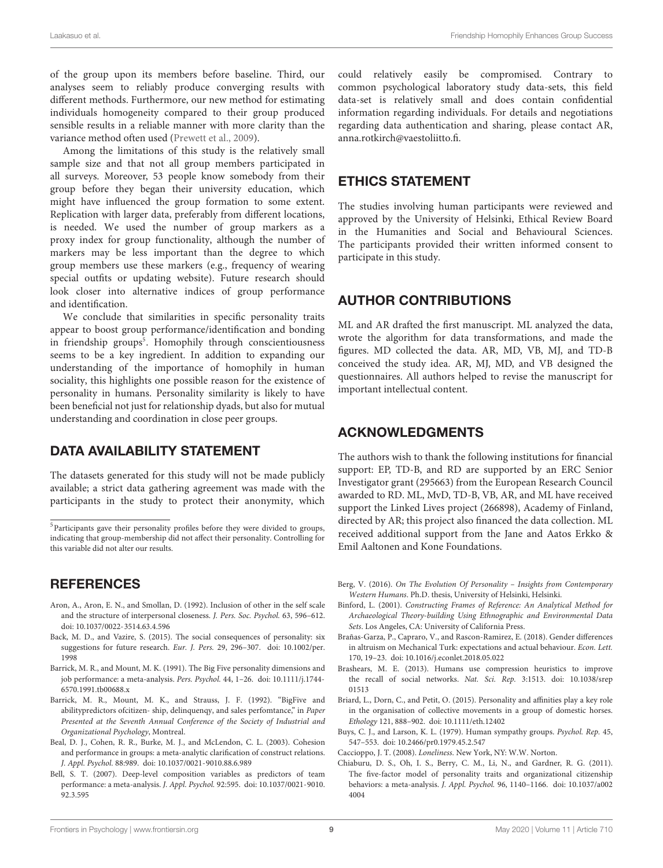of the group upon its members before baseline. Third, our analyses seem to reliably produce converging results with different methods. Furthermore, our new method for estimating individuals homogeneity compared to their group produced sensible results in a reliable manner with more clarity than the variance method often used [\(Prewett et al.,](#page-9-20) [2009\)](#page-9-20).

Among the limitations of this study is the relatively small sample size and that not all group members participated in all surveys. Moreover, 53 people know somebody from their group before they began their university education, which might have influenced the group formation to some extent. Replication with larger data, preferably from different locations, is needed. We used the number of group markers as a proxy index for group functionality, although the number of markers may be less important than the degree to which group members use these markers (e.g., frequency of wearing special outfits or updating website). Future research should look closer into alternative indices of group performance and identification.

We conclude that similarities in specific personality traits appear to boost group performance/identification and bonding in friendship groups<sup>5</sup>. Homophily through conscientiousness seems to be a key ingredient. In addition to expanding our understanding of the importance of homophily in human sociality, this highlights one possible reason for the existence of personality in humans. Personality similarity is likely to have been beneficial not just for relationship dyads, but also for mutual understanding and coordination in close peer groups.

## DATA AVAILABILITY STATEMENT

The datasets generated for this study will not be made publicly available; a strict data gathering agreement was made with the participants in the study to protect their anonymity, which

### **REFERENCES**

- <span id="page-8-7"></span>Aron, A., Aron, E. N., and Smollan, D. (1992). Inclusion of other in the self scale and the structure of interpersonal closeness. J. Pers. Soc. Psychol. 63, 596–612. [doi: 10.1037/0022-3514.63.4.596](https://doi.org/10.1037/0022-3514.63.4.596)
- <span id="page-8-8"></span>Back, M. D., and Vazire, S. (2015). The social consequences of personality: six suggestions for future research. Eur. J. Pers. 29, 296–307. [doi: 10.1002/per.](https://doi.org/10.1002/per.1998) [1998](https://doi.org/10.1002/per.1998)
- <span id="page-8-4"></span>Barrick, M. R., and Mount, M. K. (1991). The Big Five personality dimensions and job performance: a meta-analysis. Pers. Psychol. 44, 1–26. [doi: 10.1111/j.1744-](https://doi.org/10.1111/j.1744-6570.1991.tb00688.x) [6570.1991.tb00688.x](https://doi.org/10.1111/j.1744-6570.1991.tb00688.x)
- <span id="page-8-3"></span>Barrick, M. R., Mount, M. K., and Strauss, J. F. (1992). "BigFive and abilitypredictors ofcitizen- ship, delinquenqy, and sales perfomtance," in Paper Presented at the Seventh Annual Conference of the Society of Industrial and Organizational Psychology, Montreal.
- <span id="page-8-9"></span>Beal, D. J., Cohen, R. R., Burke, M. J., and McLendon, C. L. (2003). Cohesion and performance in groups: a meta-analytic clarification of construct relations. J. Appl. Psychol. 88:989. [doi: 10.1037/0021-9010.88.6.989](https://doi.org/10.1037/0021-9010.88.6.989)
- <span id="page-8-6"></span>Bell, S. T. (2007). Deep-level composition variables as predictors of team performance: a meta-analysis. J. Appl. Psychol. 92:595. [doi: 10.1037/0021-9010.](https://doi.org/10.1037/0021-9010.92.3.595) [92.3.595](https://doi.org/10.1037/0021-9010.92.3.595)

could relatively easily be compromised. Contrary to common psychological laboratory study data-sets, this field data-set is relatively small and does contain confidential information regarding individuals. For details and negotiations regarding data authentication and sharing, please contact AR, anna.rotkirch@vaestoliitto.fi.

### ETHICS STATEMENT

The studies involving human participants were reviewed and approved by the University of Helsinki, Ethical Review Board in the Humanities and Social and Behavioural Sciences. The participants provided their written informed consent to participate in this study.

### AUTHOR CONTRIBUTIONS

ML and AR drafted the first manuscript. ML analyzed the data, wrote the algorithm for data transformations, and made the figures. MD collected the data. AR, MD, VB, MJ, and TD-B conceived the study idea. AR, MJ, MD, and VB designed the questionnaires. All authors helped to revise the manuscript for important intellectual content.

### ACKNOWLEDGMENTS

The authors wish to thank the following institutions for financial support: EP, TD-B, and RD are supported by an ERC Senior Investigator grant (295663) from the European Research Council awarded to RD. ML, MvD, TD-B, VB, AR, and ML have received support the Linked Lives project (266898), Academy of Finland, directed by AR; this project also financed the data collection. ML received additional support from the Jane and Aatos Erkko & Emil Aaltonen and Kone Foundations.

- <span id="page-8-12"></span>Berg, V. (2016). On The Evolution Of Personality – Insights from Contemporary Western Humans. Ph.D. thesis, University of Helsinki, Helsinki.
- <span id="page-8-10"></span>Binford, L. (2001). Constructing Frames of Reference: An Analytical Method for Archaeological Theory-building Using Ethnographic and Environmental Data Sets. Los Angeles, CA: University of California Press.
- <span id="page-8-13"></span>Brañas-Garza, P., Capraro, V., and Rascon-Ramirez, E. (2018). Gender differences in altruism on Mechanical Turk: expectations and actual behaviour. Econ. Lett. 170, 19–23. [doi: 10.1016/j.econlet.2018.05.022](https://doi.org/10.1016/j.econlet.2018.05.022)
- <span id="page-8-1"></span>Brashears, M. E. (2013). Humans use compression heuristics to improve the recall of social networks. Nat. Sci. Rep. 3:1513. [doi: 10.1038/srep](https://doi.org/10.1038/srep01513) [01513](https://doi.org/10.1038/srep01513)
- <span id="page-8-2"></span>Briard, L., Dorn, C., and Petit, O. (2015). Personality and affinities play a key role in the organisation of collective movements in a group of domestic horses. Ethology 121, 888–902. [doi: 10.1111/eth.12402](https://doi.org/10.1111/eth.12402)
- <span id="page-8-11"></span>Buys, C. J., and Larson, K. L. (1979). Human sympathy groups. Psychol. Rep. 45, 547–553. [doi: 10.2466/pr0.1979.45.2.547](https://doi.org/10.2466/pr0.1979.45.2.547)
- <span id="page-8-0"></span>Caccioppo, J. T. (2008). Loneliness. New York, NY: W.W. Norton.
- <span id="page-8-5"></span>Chiaburu, D. S., Oh, I. S., Berry, C. M., Li, N., and Gardner, R. G. (2011). The five-factor model of personality traits and organizational citizenship behaviors: a meta-analysis. J. Appl. Psychol. 96, 1140–1166. [doi: 10.1037/a002](https://doi.org/10.1037/a0024004) [4004](https://doi.org/10.1037/a0024004)

<sup>&</sup>lt;sup>5</sup> Participants gave their personality profiles before they were divided to groups, indicating that group-membership did not affect their personality. Controlling for this variable did not alter our results.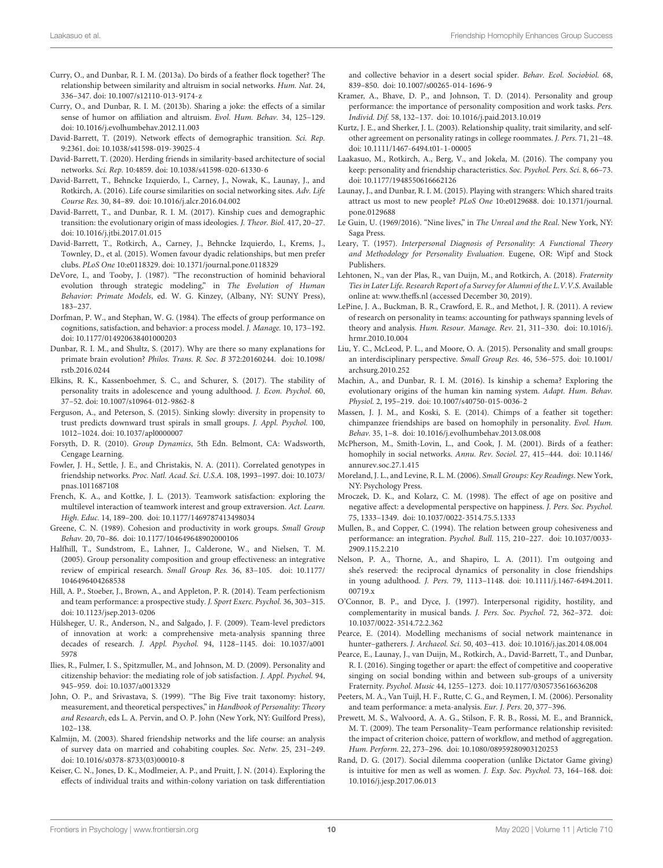- <span id="page-9-6"></span>Curry, O., and Dunbar, R. I. M. (2013a). Do birds of a feather flock together? The relationship between similarity and altruism in social networks. Hum. Nat. 24, 336–347. [doi: 10.1007/s12110-013-9174-z](https://doi.org/10.1007/s12110-013-9174-z)
- <span id="page-9-7"></span>Curry, O., and Dunbar, R. I. M. (2013b). Sharing a joke: the effects of a similar sense of humor on affiliation and altruism. Evol. Hum. Behav. 34, 125–129. [doi: 10.1016/j.evolhumbehav.2012.11.003](https://doi.org/10.1016/j.evolhumbehav.2012.11.003)
- <span id="page-9-12"></span>David-Barrett, T. (2019). Network effects of demographic transition. Sci. Rep. 9:2361. [doi: 10.1038/s41598-019-39025-4](https://doi.org/10.1038/s41598-019-39025-4)
- <span id="page-9-4"></span>David-Barrett, T. (2020). Herding friends in similarity-based architecture of social networks. Sci. Rep. 10:4859. [doi: 10.1038/s41598-020-61330-6](https://doi.org/10.1038/s41598-020-61330-6)
- <span id="page-9-5"></span>David-Barrett, T., Behncke Izquierdo, I., Carney, J., Nowak, K., Launay, J., and Rotkirch, A. (2016). Life course similarities on social networking sites. Adv. Life Course Res. 30, 84–89. [doi: 10.1016/j.alcr.2016.04.002](https://doi.org/10.1016/j.alcr.2016.04.002)
- <span id="page-9-0"></span>David-Barrett, T., and Dunbar, R. I. M. (2017). Kinship cues and demographic transition: the evolutionary origin of mass ideologies. J. Theor. Biol. 417, 20–27. [doi: 10.1016/j.jtbi.2017.01.015](https://doi.org/10.1016/j.jtbi.2017.01.015)
- <span id="page-9-44"></span>David-Barrett, T., Rotkirch, A., Carney, J., Behncke Izquierdo, I., Krems, J., Townley, D., et al. (2015). Women favour dyadic relationships, but men prefer clubs. PLoS One 10:e0118329. [doi: 10.1371/journal.pone.0118329](https://doi.org/10.1371/journal.pone.0118329)
- <span id="page-9-42"></span>DeVore, I., and Tooby, J. (1987). "The reconstruction of hominid behavioral evolution through strategic modeling," in The Evolution of Human Behavior: Primate Models, ed. W. G. Kinzey, (Albany, NY: SUNY Press), 183–237.
- <span id="page-9-39"></span>Dorfman, P. W., and Stephan, W. G. (1984). The effects of group performance on cognitions, satisfaction, and behavior: a process model. J. Manage. 10, 173–192. [doi: 10.1177/014920638401000203](https://doi.org/10.1177/014920638401000203)
- <span id="page-9-41"></span>Dunbar, R. I. M., and Shultz, S. (2017). Why are there so many explanations for primate brain evolution? Philos. Trans. R. Soc. B 372:20160244. [doi: 10.1098/](https://doi.org/10.1098/rstb.2016.0244) [rstb.2016.0244](https://doi.org/10.1098/rstb.2016.0244)
- <span id="page-9-33"></span>Elkins, R. K., Kassenboehmer, S. C., and Schurer, S. (2017). The stability of personality traits in adolescence and young adulthood. J. Econ. Psychol. 60, 37–52. [doi: 10.1007/s10964-012-9862-8](https://doi.org/10.1007/s10964-012-9862-8)
- <span id="page-9-26"></span>Ferguson, A., and Peterson, S. (2015). Sinking slowly: diversity in propensity to trust predicts downward trust spirals in small groups. J. Appl. Psychol. 100, 1012–1024. [doi: 10.1037/apl0000007](https://doi.org/10.1037/apl0000007)
- <span id="page-9-11"></span>Forsyth, D. R. (2010). Group Dynamics, 5th Edn. Belmont, CA: Wadsworth, Cengage Learning.
- <span id="page-9-8"></span>Fowler, J. H., Settle, J. E., and Christakis, N. A. (2011). Correlated genotypes in friendship networks. Proc. Natl. Acad. Sci. U.S.A. 108, 1993–1997. [doi: 10.1073/](https://doi.org/10.1073/pnas.1011687108) [pnas.1011687108](https://doi.org/10.1073/pnas.1011687108)
- <span id="page-9-27"></span>French, K. A., and Kottke, J. L. (2013). Teamwork satisfaction: exploring the multilevel interaction of teamwork interest and group extraversion. Act. Learn. High. Educ. 14, 189–200. [doi: 10.1177/1469787413498034](https://doi.org/10.1177/1469787413498034)
- <span id="page-9-40"></span>Greene, C. N. (1989). Cohesion and productivity in work groups. Small Group Behav. 20, 70–86. [doi: 10.1177/104649648902000106](https://doi.org/10.1177/104649648902000106)
- <span id="page-9-25"></span>Halfhill, T., Sundstrom, E., Lahner, J., Calderone, W., and Nielsen, T. M. (2005). Group personality composition and group effectiveness: an integrative review of empirical research. Small Group Res. 36, 83–105. [doi: 10.1177/](https://doi.org/10.1177/1046496404268538) [1046496404268538](https://doi.org/10.1177/1046496404268538)
- <span id="page-9-24"></span>Hill, A. P., Stoeber, J., Brown, A., and Appleton, P. R. (2014). Team perfectionism and team performance: a prospective study. J. Sport Exerc. Psychol. 36, 303–315. [doi: 10.1123/jsep.2013-0206](https://doi.org/10.1123/jsep.2013-0206)
- <span id="page-9-38"></span>Hülsheger, U. R., Anderson, N., and Salgado, J. F. (2009). Team-level predictors of innovation at work: a comprehensive meta-analysis spanning three decades of research. J. Appl. Psychol. 94, 1128–1145. [doi: 10.1037/a001](https://doi.org/10.1037/a0015978) [5978](https://doi.org/10.1037/a0015978)
- <span id="page-9-23"></span>Ilies, R., Fulmer, I. S., Spitzmuller, M., and Johnson, M. D. (2009). Personality and citizenship behavior: the mediating role of job satisfaction. J. Appl. Psychol. 94, 945–959. [doi: 10.1037/a0013329](https://doi.org/10.1037/a0013329)
- <span id="page-9-32"></span>John, O. P., and Srivastava, S. (1999). "The Big Five trait taxonomy: history, measurement, and theoretical perspectives," in Handbook of Personality: Theory and Research, eds L. A. Pervin, and O. P. John (New York, NY: Guilford Press), 102–138.
- <span id="page-9-29"></span>Kalmijn, M. (2003). Shared friendship networks and the life course: an analysis of survey data on married and cohabiting couples. Soc. Netw. 25, 231–249. [doi: 10.1016/s0378-8733\(03\)00010-8](https://doi.org/10.1016/s0378-8733(03)00010-8)
- <span id="page-9-36"></span>Keiser, C. N., Jones, D. K., Modlmeier, A. P., and Pruitt, J. N. (2014). Exploring the effects of individual traits and within-colony variation on task differentiation

and collective behavior in a desert social spider. Behav. Ecol. Sociobiol. 68, 839–850. [doi: 10.1007/s00265-014-1696-9](https://doi.org/10.1007/s00265-014-1696-9)

- <span id="page-9-28"></span>Kramer, A., Bhave, D. P., and Johnson, T. D. (2014). Personality and group performance: the importance of personality composition and work tasks. Pers. Individ. Dif. 58, 132–137. [doi: 10.1016/j.paid.2013.10.019](https://doi.org/10.1016/j.paid.2013.10.019)
- <span id="page-9-17"></span>Kurtz, J. E., and Sherker, J. L. (2003). Relationship quality, trait similarity, and selfother agreement on personality ratings in college roommates. J. Pers. 71, 21–48. [doi: 10.1111/1467-6494.t01-1-00005](https://doi.org/10.1111/1467-6494.t01-1-00005)
- <span id="page-9-9"></span>Laakasuo, M., Rotkirch, A., Berg, V., and Jokela, M. (2016). The company you keep: personality and friendship characteristics. Soc. Psychol. Pers. Sci. 8, 66–73. [doi: 10.1177/1948550616662126](https://doi.org/10.1177/1948550616662126)
- <span id="page-9-3"></span>Launay, J., and Dunbar, R. I. M. (2015). Playing with strangers: Which shared traits attract us most to new people? PLoS One 10:e0129688. [doi: 10.1371/journal.](https://doi.org/10.1371/journal.pone.0129688) [pone.0129688](https://doi.org/10.1371/journal.pone.0129688)
- <span id="page-9-37"></span>Le Guin, U. (1969/2016). "Nine lives," in The Unreal and the Real. New York, NY: Saga Press.
- <span id="page-9-13"></span>Leary, T. (1957). Interpersonal Diagnosis of Personality: A Functional Theory and Methodology for Personality Evaluation. Eugene, OR: Wipf and Stock Publishers.
- <span id="page-9-31"></span>Lehtonen, N., van der Plas, R., van Duijn, M., and Rotkirch, A. (2018). Fraternity Ties in Later Life. Research Report of a Survey for Alumni of the L.V.V.S. Available online at: [www.theffs.nl](http://www.theffs.nl) (accessed December 30, 2019).
- <span id="page-9-21"></span>LePine, J. A., Buckman, B. R., Crawford, E. R., and Methot, J. R. (2011). A review of research on personality in teams: accounting for pathways spanning levels of theory and analysis. Hum. Resour. Manage. Rev. 21, 311–330. [doi: 10.1016/j.](https://doi.org/10.1016/j.hrmr.2010.10.004) [hrmr.2010.10.004](https://doi.org/10.1016/j.hrmr.2010.10.004)
- <span id="page-9-18"></span>Liu, Y. C., McLeod, P. L., and Moore, O. A. (2015). Personality and small groups: an interdisciplinary perspective. Small Group Res. 46, 536–575. [doi: 10.1001/](https://doi.org/10.1001/archsurg.2010.252) [archsurg.2010.252](https://doi.org/10.1001/archsurg.2010.252)
- <span id="page-9-14"></span>Machin, A., and Dunbar, R. I. M. (2016). Is kinship a schema? Exploring the evolutionary origins of the human kin naming system. Adapt. Hum. Behav. Physiol. 2, 195–219. [doi: 10.1007/s40750-015-0036-2](https://doi.org/10.1007/s40750-015-0036-2)
- <span id="page-9-15"></span>Massen, J. J. M., and Koski, S. E. (2014). Chimps of a feather sit together: chimpanzee friendships are based on homophily in personality. Evol. Hum. Behav. 35, 1–8. [doi: 10.1016/j.evolhumbehav.2013.08.008](https://doi.org/10.1016/j.evolhumbehav.2013.08.008)
- <span id="page-9-2"></span>McPherson, M., Smith-Lovin, L., and Cook, J. M. (2001). Birds of a feather: homophily in social networks. Annu. Rev. Sociol. 27, 415–444. [doi: 10.1146/](https://doi.org/10.1146/annurev.soc.27.1.415) [annurev.soc.27.1.415](https://doi.org/10.1146/annurev.soc.27.1.415)
- <span id="page-9-10"></span>Moreland, J. L., and Levine, R. L. M. (2006). Small Groups: Key Readings. New York, NY: Psychology Press.
- <span id="page-9-34"></span>Mroczek, D. K., and Kolarz, C. M. (1998). The effect of age on positive and negative affect: a developmental perspective on happiness. J. Pers. Soc. Psychol. 75, 1333–1349. [doi: 10.1037/0022-3514.75.5.1333](https://doi.org/10.1037/0022-3514.75.5.1333)
- <span id="page-9-35"></span>Mullen, B., and Copper, C. (1994). The relation between group cohesiveness and performance: an integration. Psychol. Bull. 115, 210–227. [doi: 10.1037/0033-](https://doi.org/10.1037/0033-2909.115.2.210) [2909.115.2.210](https://doi.org/10.1037/0033-2909.115.2.210)
- <span id="page-9-16"></span>Nelson, P. A., Thorne, A., and Shapiro, L. A. (2011). I'm outgoing and she's reserved: the reciprocal dynamics of personality in close friendships in young adulthood. J. Pers. 79, 1113–1148. [doi: 10.1111/j.1467-6494.2011.](https://doi.org/10.1111/j.1467-6494.2011.00719.x) [00719.x](https://doi.org/10.1111/j.1467-6494.2011.00719.x)
- <span id="page-9-22"></span>O'Connor, B. P., and Dyce, J. (1997). Interpersonal rigidity, hostility, and complementarity in musical bands. J. Pers. Soc. Psychol. 72, 362–372. [doi:](https://doi.org/10.1037/0022-3514.72.2.362) [10.1037/0022-3514.72.2.362](https://doi.org/10.1037/0022-3514.72.2.362)
- <span id="page-9-1"></span>Pearce, E. (2014). Modelling mechanisms of social network maintenance in hunter–gatherers. J. Archaeol. Sci. 50, 403–413. [doi: 10.1016/j.jas.2014.08.004](https://doi.org/10.1016/j.jas.2014.08.004)
- <span id="page-9-30"></span>Pearce, E., Launay, J., van Duijn, M., Rotkirch, A., David-Barrett, T., and Dunbar, R. I. (2016). Singing together or apart: the effect of competitive and cooperative singing on social bonding within and between sub-groups of a university Fraternity. Psychol. Music 44, 1255–1273. [doi: 10.1177/0305735616636208](https://doi.org/10.1177/0305735616636208)
- <span id="page-9-19"></span>Peeters, M. A., Van Tuijl, H. F., Rutte, C. G., and Reymen, I. M. (2006). Personality and team performance: a meta-analysis. Eur. J. Pers. 20, 377–396.
- <span id="page-9-20"></span>Prewett, M. S., Walvoord, A. A. G., Stilson, F. R. B., Rossi, M. E., and Brannick, M. T. (2009). The team Personality–Team performance relationship revisited: the impact of criterion choice, pattern of workflow, and method of aggregation. Hum. Perform. 22, 273–296. [doi: 10.1080/08959280903120253](https://doi.org/10.1080/08959280903120253)
- <span id="page-9-43"></span>Rand, D. G. (2017). Social dilemma cooperation (unlike Dictator Game giving) is intuitive for men as well as women. J. Exp. Soc. Psychol. 73, 164–168. [doi:](https://doi.org/10.1016/j.jesp.2017.06.013) [10.1016/j.jesp.2017.06.013](https://doi.org/10.1016/j.jesp.2017.06.013)